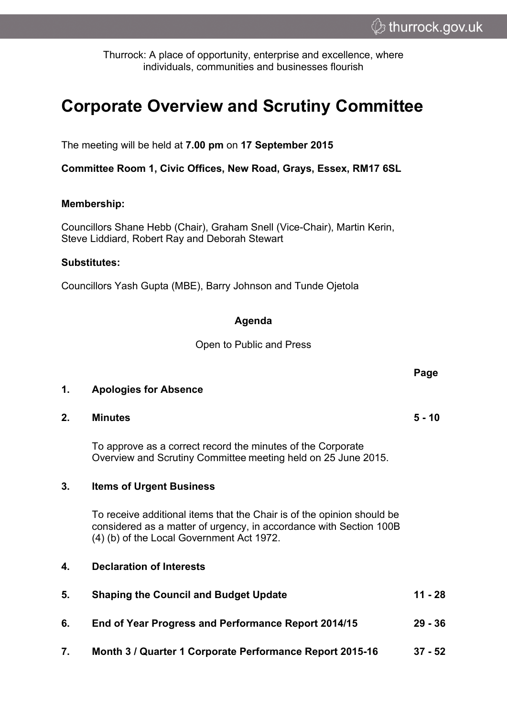**Page**

Thurrock: A place of opportunity, enterprise and excellence, where individuals, communities and businesses flourish

# **Corporate Overview and Scrutiny Committee**

The meeting will be held at **7.00 pm** on **17 September 2015**

**Committee Room 1, Civic Offices, New Road, Grays, Essex, RM17 6SL**

#### **Membership:**

Councillors Shane Hebb (Chair), Graham Snell (Vice-Chair), Martin Kerin, Steve Liddiard, Robert Ray and Deborah Stewart

#### **Substitutes:**

**1. Apologies for Absence**

Councillors Yash Gupta (MBE), Barry Johnson and Tunde Ojetola

### **Agenda**

Open to Public and Press

| 2. | <b>Minutes</b>                                                                                                                                                                            | $5 - 10$  |
|----|-------------------------------------------------------------------------------------------------------------------------------------------------------------------------------------------|-----------|
|    | To approve as a correct record the minutes of the Corporate<br>Overview and Scrutiny Committee meeting held on 25 June 2015.                                                              |           |
| 3. | <b>Items of Urgent Business</b>                                                                                                                                                           |           |
|    | To receive additional items that the Chair is of the opinion should be<br>considered as a matter of urgency, in accordance with Section 100B<br>(4) (b) of the Local Government Act 1972. |           |
| 4. | <b>Declaration of Interests</b>                                                                                                                                                           |           |
| 5. | <b>Shaping the Council and Budget Update</b>                                                                                                                                              | $11 - 28$ |
| 6. | End of Year Progress and Performance Report 2014/15                                                                                                                                       | $29 - 36$ |
| 7. | Month 3 / Quarter 1 Corporate Performance Report 2015-16                                                                                                                                  | $37 - 52$ |